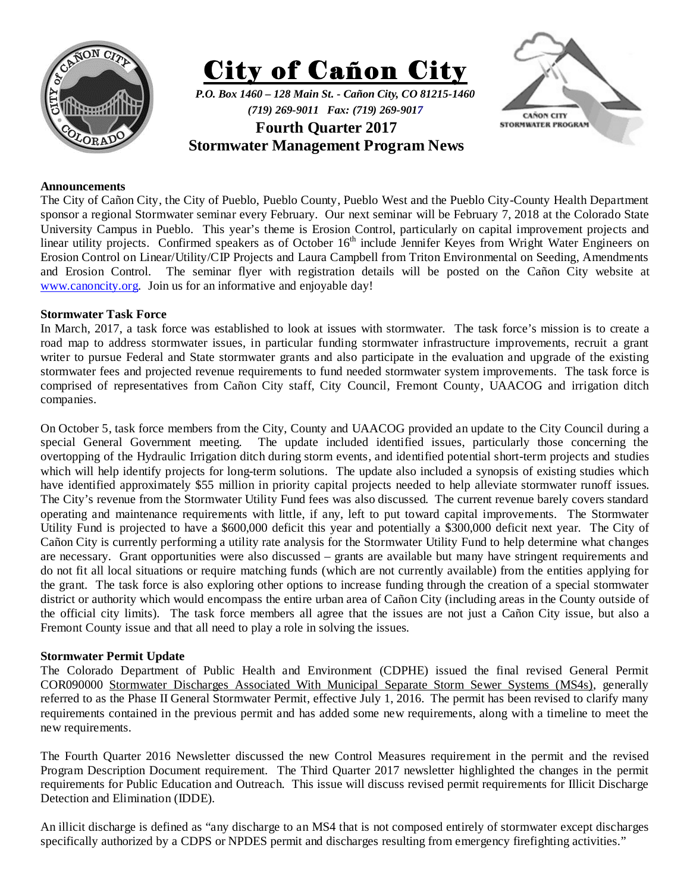





## **Announcements**

The City of Cañon City, the City of Pueblo, Pueblo County, Pueblo West and the Pueblo City-County Health Department sponsor a regional Stormwater seminar every February. Our next seminar will be February 7, 2018 at the Colorado State University Campus in Pueblo. This year's theme is Erosion Control, particularly on capital improvement projects and linear utility projects. Confirmed speakers as of October 16<sup>th</sup> include Jennifer Keyes from Wright Water Engineers on Erosion Control on Linear/Utility/CIP Projects and Laura Campbell from Triton Environmental on Seeding, Amendments and Erosion Control. The seminar flyer with registration details will be posted on the Cañon City website at www.canoncity.org. Join us for an informative and enjoyable day!

## **Stormwater Task Force**

In March, 2017, a task force was established to look at issues with stormwater. The task force's mission is to create a road map to address stormwater issues, in particular funding stormwater infrastructure improvements, recruit a grant writer to pursue Federal and State stormwater grants and also participate in the evaluation and upgrade of the existing stormwater fees and projected revenue requirements to fund needed stormwater system improvements. The task force is comprised of representatives from Cañon City staff, City Council, Fremont County, UAACOG and irrigation ditch companies.

On October 5, task force members from the City, County and UAACOG provided an update to the City Council during a special General Government meeting. The update included identified issues, particularly those concerning the overtopping of the Hydraulic Irrigation ditch during storm events, and identified potential short-term projects and studies which will help identify projects for long-term solutions. The update also included a synopsis of existing studies which have identified approximately \$55 million in priority capital projects needed to help alleviate stormwater runoff issues. The City's revenue from the Stormwater Utility Fund fees was also discussed. The current revenue barely covers standard operating and maintenance requirements with little, if any, left to put toward capital improvements. The Stormwater Utility Fund is projected to have a \$600,000 deficit this year and potentially a \$300,000 deficit next year. The City of Cañon City is currently performing a utility rate analysis for the Stormwater Utility Fund to help determine what changes are necessary. Grant opportunities were also discussed – grants are available but many have stringent requirements and do not fit all local situations or require matching funds (which are not currently available) from the entities applying for the grant. The task force is also exploring other options to increase funding through the creation of a special stormwater district or authority which would encompass the entire urban area of Cañon City (including areas in the County outside of the official city limits). The task force members all agree that the issues are not just a Cañon City issue, but also a Fremont County issue and that all need to play a role in solving the issues.

## **Stormwater Permit Update**

The Colorado Department of Public Health and Environment (CDPHE) issued the final revised General Permit COR090000 Stormwater Discharges Associated With Municipal Separate Storm Sewer Systems (MS4s), generally referred to as the Phase II General Stormwater Permit, effective July 1, 2016. The permit has been revised to clarify many requirements contained in the previous permit and has added some new requirements, along with a timeline to meet the new requirements.

The Fourth Quarter 2016 Newsletter discussed the new Control Measures requirement in the permit and the revised Program Description Document requirement. The Third Quarter 2017 newsletter highlighted the changes in the permit requirements for Public Education and Outreach. This issue will discuss revised permit requirements for Illicit Discharge Detection and Elimination (IDDE).

An illicit discharge is defined as "any discharge to an MS4 that is not composed entirely of stormwater except discharges specifically authorized by a CDPS or NPDES permit and discharges resulting from emergency firefighting activities."